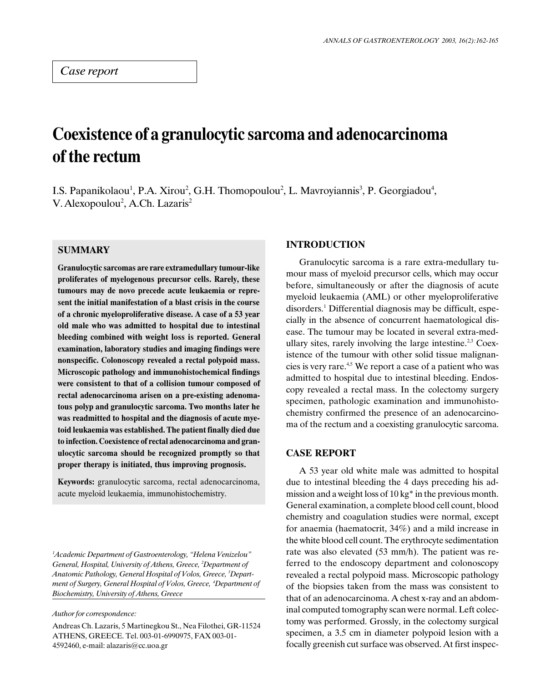# Coexistence of a granulocytic sarcoma and adenocarcinoma of the rectum

I.S. Papanikolaou<sup>1</sup>, P.A. Xirou<sup>2</sup>, G.H. Thomopoulou<sup>2</sup>, L. Mavroyiannis<sup>3</sup>, P. Georgiadou<sup>4</sup>, V. Alexopoulou<sup>2</sup>, A.Ch. Lazaris<sup>2</sup>

# **SUMMARY**

Granulocytic sarcomas are rare extramedullary tumour-like proliferates of myelogenous precursor cells. Rarely, these tumours may de novo precede acute leukaemia or represent the initial manifestation of a blast crisis in the course of a chronic myeloproliferative disease. A case of a 53 year old male who was admitted to hospital due to intestinal bleeding combined with weight loss is reported. General examination, laboratory studies and imaging findings were nonspecific. Colonoscopy revealed a rectal polypoid mass. Microscopic pathology and immunohistochemical findings were consistent to that of a collision tumour composed of rectal adenocarcinoma arisen on a pre-existing adenomatous polyp and granulocytic sarcoma. Two months later he was readmitted to hospital and the diagnosis of acute myetoid leukaemia was established. The patient finally died due to infection. Coexistence of rectal adenocarcinoma and granulocytic sarcoma should be recognized promptly so that proper therapy is initiated, thus improving prognosis.

Keywords: granulocytic sarcoma, rectal adenocarcinoma, acute myeloid leukaemia, immunohistochemistry.

 ${}^{1}$ Academic Department of Gastroenterology, "Helena Venizelou" General, Hospital, University of Athens, Greece, <sup>2</sup>Department of Anatomic Pathology, General Hospital of Volos, Greece, <sup>3</sup>Department of Surgery, General Hospital of Volos, Greece, <sup>4</sup>Department of Biochemistry, University of Athens, Greece

#### Author for correspondence:

Andreas Ch. Lazaris, 5 Martinegkou St., Nea Filothei, GR-11524 ATHENS, GREECE. Tel. 003-01-6990975, FAX 003-01- 4592460, e-mail: alazaris@cc.uoa.gr

### INTRODUCTION

Granulocytic sarcoma is a rare extra-medullary tumour mass of myeloid precursor cells, which may occur before, simultaneously or after the diagnosis of acute myeloid leukaemia (AML) or other myeloproliferative disorders.1 Differential diagnosis may be difficult, especially in the absence of concurrent haematological disease. The tumour may be located in several extra-medullary sites, rarely involving the large intestine.<sup>2,3</sup> Coexistence of the tumour with other solid tissue malignancies is very rare.4,5 We report a case of a patient who was admitted to hospital due to intestinal bleeding. Endoscopy revealed a rectal mass. In the colectomy surgery specimen, pathologic examination and immunohistochemistry confirmed the presence of an adenocarcinoma of the rectum and a coexisting granulocytic sarcoma.

# CASE REPORT

A 53 year old white male was admitted to hospital due to intestinal bleeding the 4 days preceding his admission and a weight loss of 10 kg\* in the previous month. General examination, a complete blood cell count, blood chemistry and coagulation studies were normal, except for anaemia (haematocrit, 34%) and a mild increase in the white blood cell count. The erythrocyte sedimentation rate was also elevated (53 mm/h). The patient was referred to the endoscopy department and colonoscopy revealed a rectal polypoid mass. Microscopic pathology of the biopsies taken from the mass was consistent to that of an adenocarcinoma. A chest x-ray and an abdominal computed tomography scan were normal. Left colectomy was performed. Grossly, in the colectomy surgical specimen, a 3.5 cm in diameter polypoid lesion with a focally greenish cut surface was observed. At first inspec-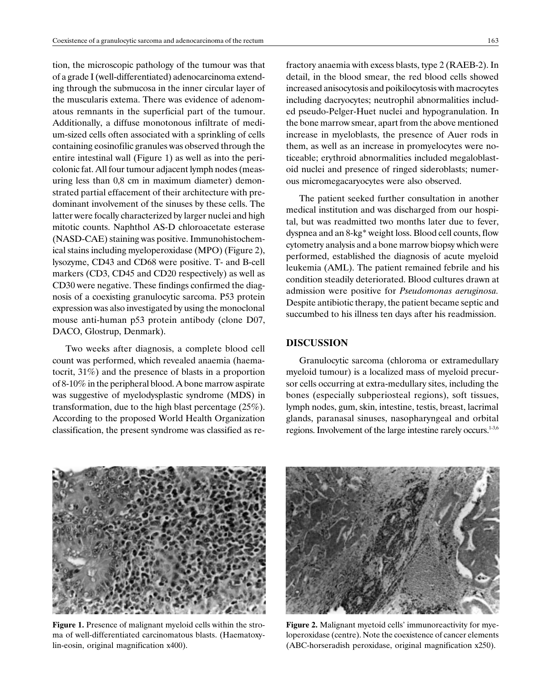tion, the microscopic pathology of the tumour was that of a grade I (well-differentiated) adenocarcinoma extending through the submucosa in the inner circular layer of the muscularis extema. There was evidence of adenomatous remnants in the superficial part of the tumour. Additionally, a diffuse monotonous infiltrate of medium-sized cells often associated with a sprinkling of cells containing eosinofilic granules was observed through the entire intestinal wall (Figure 1) as well as into the pericolonic fat. All four tumour adjacent lymph nodes (measuring less than 0,8 cm in maximum diameter) demonstrated partial effacement of their architecture with predominant involvement of the sinuses by these cells. The latter were focally characterized by larger nuclei and high mitotic counts. Naphthol AS-D chloroacetate esterase (NASD-CAE) staining was positive. Immunohistochemical stains including myeloperoxidase (MPO) (Figure 2), lysozyme, CD43 and CD68 were positive. T- and B-cell markers (CD3, CD45 and CD20 respectively) as well as CD30 were negative. These findings confirmed the diagnosis of a coexisting granulocytic sarcoma. P53 protein expression was also investigated by using the monoclonal mouse anti-human p53 protein antibody (clone D07, DACO, Glostrup, Denmark).

Two weeks after diagnosis, a complete blood cell count was performed, which revealed anaemia (haematocrit, 31%) and the presence of blasts in a proportion of 8-10% in the peripheral blood. A bone marrow aspirate was suggestive of myelodysplastic syndrome (MDS) in transformation, due to the high blast percentage (25%). According to the proposed World Health Organization classification, the present syndrome was classified as refractory anaemia with excess blasts, type 2 (RAEB-2). In detail, in the blood smear, the red blood cells showed increased anisocytosis and poikilocytosis with macrocytes including dacryocytes; neutrophil abnormalities included pseudo-Pelger-Huet nuclei and hypogranulation. In the bone marrow smear, apart from the above mentioned increase in myeloblasts, the presence of Auer rods in them, as well as an increase in promyelocytes were noticeable; erythroid abnormalities included megaloblastoid nuclei and presence of ringed sideroblasts; numerous micromegacaryocytes were also observed.

The patient seeked further consultation in another medical institution and was discharged from our hospital, but was readmitted two months later due to fever, dyspnea and an 8-kg\* weight loss. Blood cell counts, flow cytometry analysis and a bone marrow biopsy which were performed, established the diagnosis of acute myeloid leukemia (AML). The patient remained febrile and his condition steadily deteriorated. Blood cultures drawn at admission were positive for Pseudomonas aeruginosa. Despite antibiotic therapy, the patient became septic and succumbed to his illness ten days after his readmission.

# DISCUSSION

Granulocytic sarcoma (chloroma or extramedullary myeloid tumour) is a localized mass of myeloid precursor cells occurring at extra-medullary sites, including the bones (especially subperiosteal regions), soft tissues, lymph nodes, gum, skin, intestine, testis, breast, lacrimal glands, paranasal sinuses, nasopharyngeal and orbital regions. Involvement of the large intestine rarely occurs.<sup>1-3,6</sup>



Figure 1. Presence of malignant myeloid cells within the stroma of well-differentiated carcinomatous blasts. (Haematoxylin-eosin, original magnification x400).



Figure 2. Malignant myetoid cells' immunoreactivity for myeloperoxidase (centre). Note the coexistence of cancer elements (ABC-horseradish peroxidase, original magnification x250).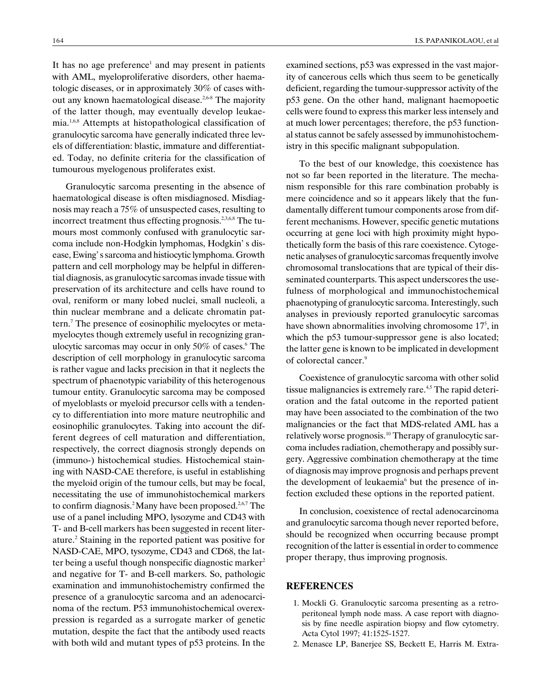It has no age preference<sup>1</sup> and may present in patients with AML, myeloproliferative disorders, other haematologic diseases, or in approximately 30% of cases without any known haematological disease.2,6-8 The majority of the latter though, may eventually develop leukaemia.1,6,8 Attempts at histopathological classification of granulocytic sarcoma have generally indicated three levels of differentiation: blastic, immature and differentiated. Today, no definite criteria for the classification of tumourous myelogenous proliferates exist.

Granulocytic sarcoma presenting in the absence of haematological disease is often misdiagnosed. Misdiagnosis may reach a 75% of unsuspected cases, resulting to incorrect treatment thus effecting prognosis.<sup>2,3,6,8</sup> The tumours most commonly confused with granulocytic sarcoma include non-Hodgkin lymphomas, Hodgkin's disease, Ewing's sarcoma and histiocytic lymphoma. Growth pattern and cell morphology may be helpful in differential diagnosis, as granulocytic sarcomas invade tissue with preservation of its architecture and cells have round to oval, reniform or many lobed nuclei, small nucleoli, a thin nuclear membrane and a delicate chromatin pattern.7 The presence of eosinophilic myelocytes or metamyelocytes though extremely useful in recognizing granulocytic sarcomas may occur in only 50% of cases.<sup>6</sup> The description of cell morphology in granulocytic sarcoma is rather vague and lacks precision in that it neglects the spectrum of phaenotypic variability of this heterogenous tumour entity. Granulocytic sarcoma may be composed of myeloblasts or myeloid precursor cells with a tendency to differentiation into more mature neutrophilic and eosinophilic granulocytes. Taking into account the different degrees of cell maturation and differentiation, respectively, the correct diagnosis strongly depends on (immuno-) histochemical studies. Histochemical staining with NASD-CAE therefore, is useful in establishing the myeloid origin of the tumour cells, but may be focal, necessitating the use of immunohistochemical markers to confirm diagnosis.<sup>2</sup> Many have been proposed.<sup>2,6,7</sup> The use of a panel including MPO, lysozyme and CD43 with T- and B-cell markers has been suggested in recent literature.<sup>2</sup> Staining in the reported patient was positive for NASD-CAE, MPO, tysozyme, CD43 and CD68, the latter being a useful though nonspecific diagnostic marker<sup>2</sup> and negative for T- and B-cell markers. So, pathologic examination and immunohistochemistry confirmed the presence of a granulocytic sarcoma and an adenocarcinoma of the rectum. P53 immunohistochemical overexpression is regarded as a surrogate marker of genetic mutation, despite the fact that the antibody used reacts with both wild and mutant types of p53 proteins. In the examined sections, p53 was expressed in the vast majority of cancerous cells which thus seem to be genetically deficient, regarding the tumour-suppressor activity of the p53 gene. On the other hand, malignant haemopoetic cells were found to express this marker less intensely and at much lower percentages; therefore, the p53 functional status cannot be safely assessed by immunohistochemistry in this specific malignant subpopulation.

To the best of our knowledge, this coexistence has not so far been reported in the literature. The mechanism responsible for this rare combination probably is mere coincidence and so it appears likely that the fundamentally different tumour components arose from different mechanisms. However, specific genetic mutations occurring at gene loci with high proximity might hypothetically form the basis of this rare coexistence. Cytogenetic analyses of granulocytic sarcomas frequently involve chromosomal translocations that are typical of their disseminated counterparts. This aspect underscores the usefulness of morphological and immunochistochemical phaenotyping of granulocytic sarcoma. Interestingly, such analyses in previously reported granulocytic sarcomas have shown abnormalities involving chromosome  $17<sup>5</sup>$ , in which the p53 tumour-suppressor gene is also located; the latter gene is known to be implicated in development of colorectal cancer.9

Coexistence of granulocytic sarcoma with other solid tissue malignancies is extremely rare.<sup>4,5</sup> The rapid deterioration and the fatal outcome in the reported patient may have been associated to the combination of the two malignancies or the fact that MDS-related AML has a relatively worse prognosis.<sup>10</sup> Therapy of granulocytic sarcoma includes radiation, chemotherapy and possibly surgery. Aggressive combination chemotherapy at the time of diagnosis may improve prognosis and perhaps prevent the development of leukaemia<sup>6</sup> but the presence of infection excluded these options in the reported patient.

In conclusion, coexistence of rectal adenocarcinoma and granulocytic sarcoma though never reported before, should be recognized when occurring because prompt recognition of the latter is essential in order to commence proper therapy, thus improving prognosis.

#### REFERENCES

- 1. Mockli G. Granulocytic sarcoma presenting as a retroperitoneal lymph node mass. A case report with diagnosis by fine needle aspiration biopsy and flow cytometry. Acta Cytol 1997; 41:1525-1527.
- 2. Menasce LP, Banerjee SS, Beckett E, Harris M. Extra-